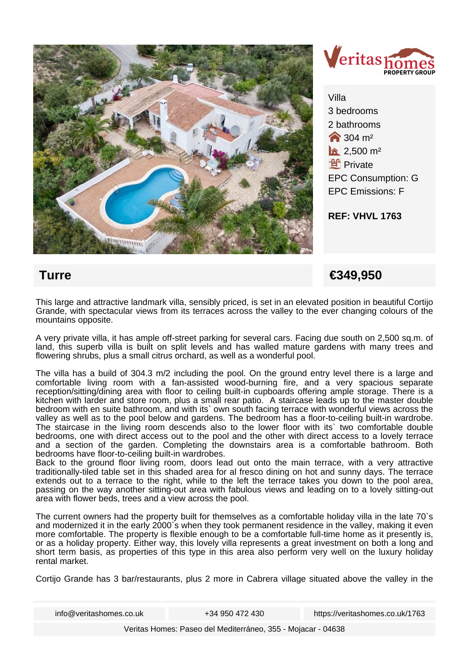



Villa 3 bedrooms 2 bathrooms **1**304 m<sup>2</sup>  $a$  2.500 m<sup>2</sup> **f** Private EPC Consumption: G EPC Emissions: F

**REF: VHVL 1763**

## **Turre €349,950**

This large and attractive landmark villa, sensibly priced, is set in an elevated position in beautiful Cortijo Grande, with spectacular views from its terraces across the valley to the ever changing colours of the mountains opposite.

A very private villa, it has ample off-street parking for several cars. Facing due south on 2,500 sq.m. of land, this superb villa is built on split levels and has walled mature gardens with many trees and flowering shrubs, plus a small citrus orchard, as well as a wonderful pool.

The villa has a build of 304.3 m/2 including the pool. On the ground entry level there is a large and comfortable living room with a fan-assisted wood-burning fire, and a very spacious separate reception/sitting/dining area with floor to ceiling built-in cupboards offering ample storage. There is a kitchen with larder and store room, plus a small rear patio. A staircase leads up to the master double bedroom with en suite bathroom, and with its` own south facing terrace with wonderful views across the valley as well as to the pool below and gardens. The bedroom has a floor-to-ceiling built-in wardrobe. The staircase in the living room descends also to the lower floor with its` two comfortable double bedrooms, one with direct access out to the pool and the other with direct access to a lovely terrace and a section of the garden. Completing the downstairs area is a comfortable bathroom. Both bedrooms have floor-to-ceiling built-in wardrobes.

Back to the ground floor living room, doors lead out onto the main terrace, with a very attractive traditionally-tiled table set in this shaded area for al fresco dining on hot and sunny days. The terrace extends out to a terrace to the right, while to the left the terrace takes you down to the pool area, passing on the way another sitting-out area with fabulous views and leading on to a lovely sitting-out area with flower beds, trees and a view across the pool.

The current owners had the property built for themselves as a comfortable holiday villa in the late 70`s and modernized it in the early 2000`s when they took permanent residence in the valley, making it even more comfortable. The property is flexible enough to be a comfortable full-time home as it presently is, or as a holiday property. Either way, this lovely villa represents a great investment on both a long and short term basis, as properties of this type in this area also perform very well on the luxury holiday rental market.

Cortijo Grande has 3 bar/restaurants, plus 2 more in Cabrera village situated above the valley in the

info@veritashomes.co.uk +34 950 472 430 https://veritashomes.co.uk/1763

Veritas Homes: Paseo del Mediterráneo, 355 - Mojacar - 04638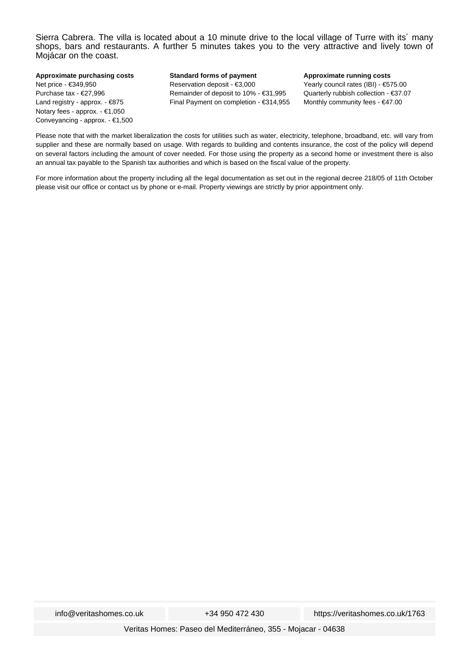Sierra Cabrera. The villa is located about a 10 minute drive to the local village of Turre with its´ many shops, bars and restaurants. A further 5 minutes takes you to the very attractive and lively town of Mojácar on the coast.

**Approximate purchasing costs** Net price - €349,950 Purchase tax - €27,996 Land registry - approx. - €875 Notary fees - approx. - €1,050 Conveyancing - approx. - €1,500

**Standard forms of payment** Reservation deposit - €3,000 Remainder of deposit to 10% - €31,995 Final Payment on completion - €314,955

## **Approximate running costs**

Yearly council rates (IBI) - €575.00 Quarterly rubbish collection - €37.07 Monthly community fees - €47.00

Please note that with the market liberalization the costs for utilities such as water, electricity, telephone, broadband, etc. will vary from supplier and these are normally based on usage. With regards to building and contents insurance, the cost of the policy will depend on several factors including the amount of cover needed. For those using the property as a second home or investment there is also an annual tax payable to the Spanish tax authorities and which is based on the fiscal value of the property.

For more information about the property including all the legal documentation as set out in the regional decree 218/05 of 11th October please visit our office or contact us by phone or e-mail. Property viewings are strictly by prior appointment only.

info@veritashomes.co.uk +34 950 472 430 https://veritashomes.co.uk/1763

Veritas Homes: Paseo del Mediterráneo, 355 - Mojacar - 04638